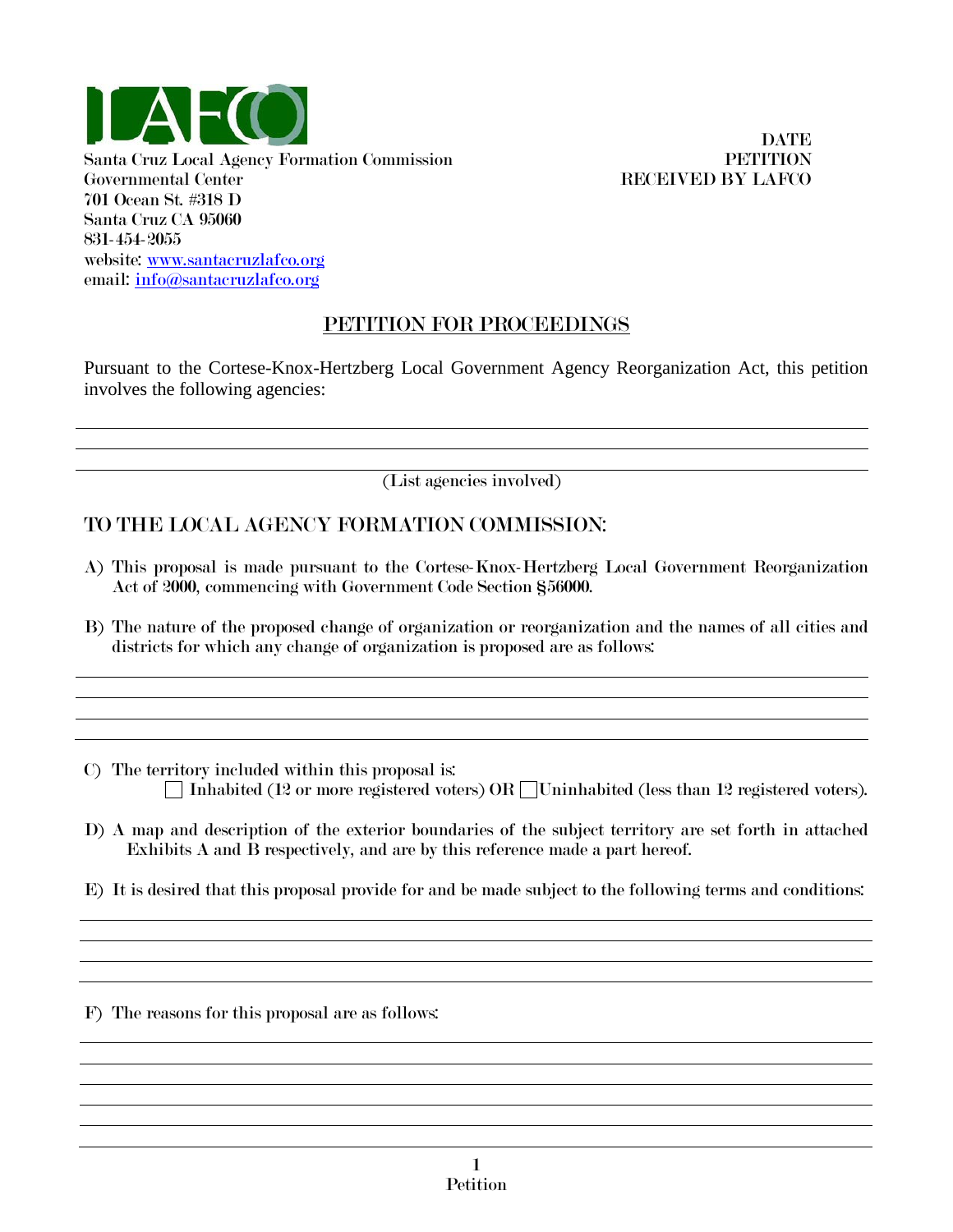

**DATE** 

## PETITION FOR PROCEEDINGS

Pursuant to the Cortese-Knox-Hertzberg Local Government Agency Reorganization Act, this petition involves the following agencies:

(List agencies involved)

## TO THE LOCAL AGENCY FORMATION COMMISSION:

- A) This proposal is made pursuant to the Cortese-Knox-Hertzberg Local Government Reorganization Act of 2000, commencing with Government Code Section §56000.
- B) The nature of the proposed change of organization or reorganization and the names of all cities and districts for which any change of organization is proposed are as follows:

C) The territory included within this proposal is: Inhabited (12 or more registered voters) OR Uninhabited (less than 12 registered voters).

- D) A map and description of the exterior boundaries of the subject territory are set forth in attached Exhibits A and B respectively, and are by this reference made a part hereof.
- E) It is desired that this proposal provide for and be made subject to the following terms and conditions:

F) The reasons for this proposal are as follows: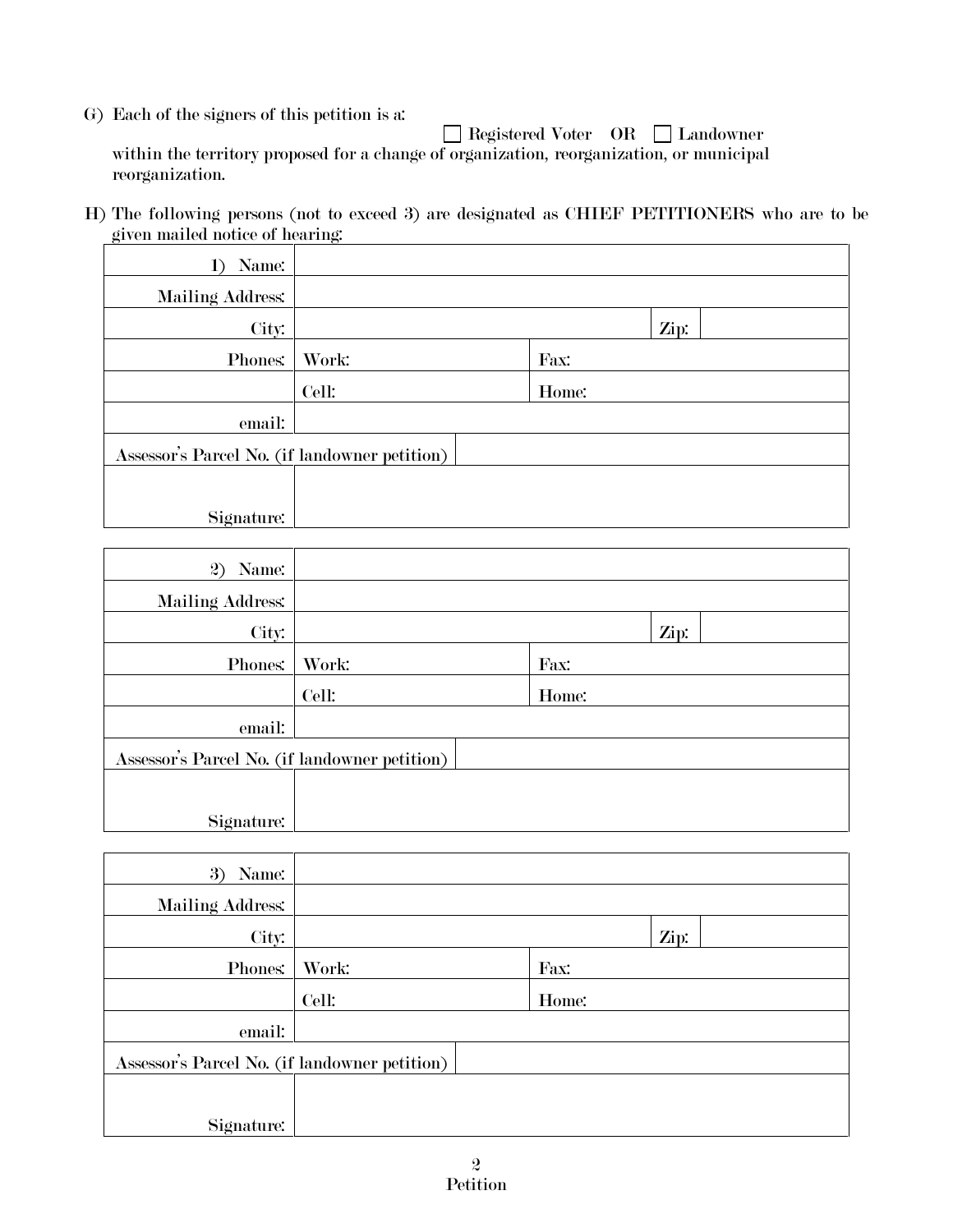G) Each of the signers of this petition is a:

Registered Voter OR Landowner

within the territory proposed for a change of organization, reorganization, or municipal reorganization.

H) The following persons (not to exceed 3) are designated as CHIEF PETITIONERS who are to be given mailed notice of hearing:

| Name:<br>1)                                   |       |       |      |  |
|-----------------------------------------------|-------|-------|------|--|
| <b>Mailing Address:</b>                       |       |       |      |  |
| City:                                         |       |       | Zip: |  |
| Phones:                                       | Work: | Fax:  |      |  |
|                                               | Cell: | Home: |      |  |
| email:                                        |       |       |      |  |
| Assessor's Parcel No. (if landowner petition) |       |       |      |  |
|                                               |       |       |      |  |
| Signature:                                    |       |       |      |  |

| Name:<br>$\mathbf{2}$                         |       |       |      |
|-----------------------------------------------|-------|-------|------|
| <b>Mailing Address:</b>                       |       |       |      |
| City:                                         |       |       | Zip: |
| Phones:                                       | Work: | Fax:  |      |
|                                               | Cell: | Home: |      |
| email:                                        |       |       |      |
| Assessor's Parcel No. (if landowner petition) |       |       |      |
|                                               |       |       |      |
| Signature:                                    |       |       |      |

| Name:<br>3)                                   |       |       |      |  |
|-----------------------------------------------|-------|-------|------|--|
| <b>Mailing Address:</b>                       |       |       |      |  |
| City:                                         |       |       | Zip: |  |
| Phones:                                       | Work: | Fax:  |      |  |
|                                               | Cell: | Home: |      |  |
| email:                                        |       |       |      |  |
| Assessor's Parcel No. (if landowner petition) |       |       |      |  |
|                                               |       |       |      |  |
| Signature:                                    |       |       |      |  |